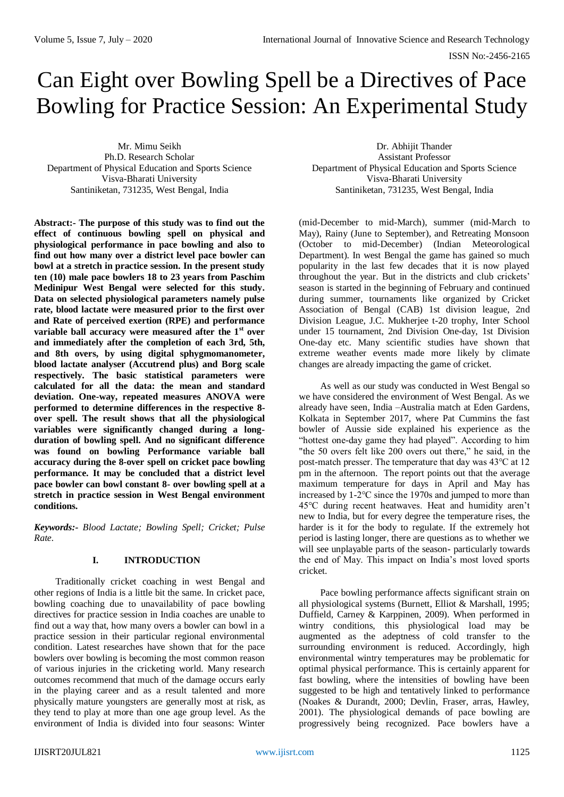# Can Eight over Bowling Spell be a Directives of Pace Bowling for Practice Session: An Experimental Study

Mr. Mimu Seikh Ph.D. Research Scholar Department of Physical Education and Sports Science Visva-Bharati University Santiniketan, 731235, West Bengal, India

**Abstract:- The purpose of this study was to find out the effect of continuous bowling spell on physical and physiological performance in pace bowling and also to find out how many over a district level pace bowler can bowl at a stretch in practice session. In the present study ten (10) male pace bowlers 18 to 23 years from Paschim Medinipur West Bengal were selected for this study. Data on selected physiological parameters namely pulse rate, blood lactate were measured prior to the first over and Rate of perceived exertion (RPE) and performance variable ball accuracy were measured after the 1st over and immediately after the completion of each 3rd, 5th, and 8th overs, by using digital sphygmomanometer, blood lactate analyser (Accutrend plus) and Borg scale respectively. The basic statistical parameters were calculated for all the data: the mean and standard deviation. One-way, repeated measures ANOVA were performed to determine differences in the respective 8 over spell. The result shows that all the physiological**  variables were significantly changed during a long**duration of bowling spell. And no significant difference was found on bowling Performance variable ball accuracy during the 8-over spell on cricket pace bowling performance. It may be concluded that a district level pace bowler can bowl constant 8- over bowling spell at a stretch in practice session in West Bengal environment conditions.** 

*Keywords:- Blood Lactate; Bowling Spell; Cricket; Pulse Rate.*

## **I. INTRODUCTION**

Traditionally cricket coaching in west Bengal and other regions of India is a little bit the same. In cricket pace, bowling coaching due to unavailability of pace bowling directives for practice session in India coaches are unable to find out a way that, how many overs a bowler can bowl in a practice session in their particular regional environmental condition. Latest researches have shown that for the pace bowlers over bowling is becoming the most common reason of various injuries in the cricketing world. Many research outcomes recommend that much of the damage occurs early in the playing career and as a result talented and more physically mature youngsters are generally most at risk, as they tend to play at more than one age group level. As the environment of India is divided into four seasons: Winter

Dr. Abhijit Thander Assistant Professor Department of Physical Education and Sports Science Visva-Bharati University Santiniketan, 731235, West Bengal, India

(mid-December to mid-March), summer (mid-March to May), Rainy (June to September), and Retreating Monsoon (October to mid-December) (Indian Meteorological Department). In west Bengal the game has gained so much popularity in the last few decades that it is now played throughout the year. But in the districts and club crickets' season is started in the beginning of February and continued during summer, tournaments like organized by Cricket Association of Bengal (CAB) 1st division league, 2nd Division League, J.C. Mukherjee t-20 trophy, Inter School under 15 tournament, 2nd Division One-day, 1st Division One-day etc. Many scientific studies have shown that extreme weather events made more likely by climate changes are already impacting the game of cricket.

As well as our study was conducted in West Bengal so we have considered the environment of West Bengal. As we already have seen, India –Australia match at Eden Gardens, Kolkata in September 2017, where Pat Cummins the fast bowler of Aussie side explained his experience as the "hottest one-day game they had played". According to him "the 50 overs felt like 200 overs out there," he said, in the post-match presser. The temperature that day was 43℃ at 12 pm in the afternoon. The report points out that the average maximum temperature for days in April and May has increased by 1-2℃ since the 1970s and jumped to more than 45℃ during recent heatwaves. Heat and humidity aren't new to India, but for every degree the temperature rises, the harder is it for the body to regulate. If the extremely hot period is lasting longer, there are questions as to whether we will see unplayable parts of the season- particularly towards the end of May. This impact on India's most loved sports cricket.

Pace bowling performance affects significant strain on all physiological systems (Burnett, Elliot & Marshall, 1995; Duffield, Carney & Karppinen, 2009). When performed in wintry conditions, this physiological load may be augmented as the adeptness of cold transfer to the surrounding environment is reduced. Accordingly, high environmental wintry temperatures may be problematic for optimal physical performance. This is certainly apparent for fast bowling, where the intensities of bowling have been suggested to be high and tentatively linked to performance (Noakes & Durandt, 2000; Devlin, Fraser, arras, Hawley, 2001). The physiological demands of pace bowling are progressively being recognized. Pace bowlers have a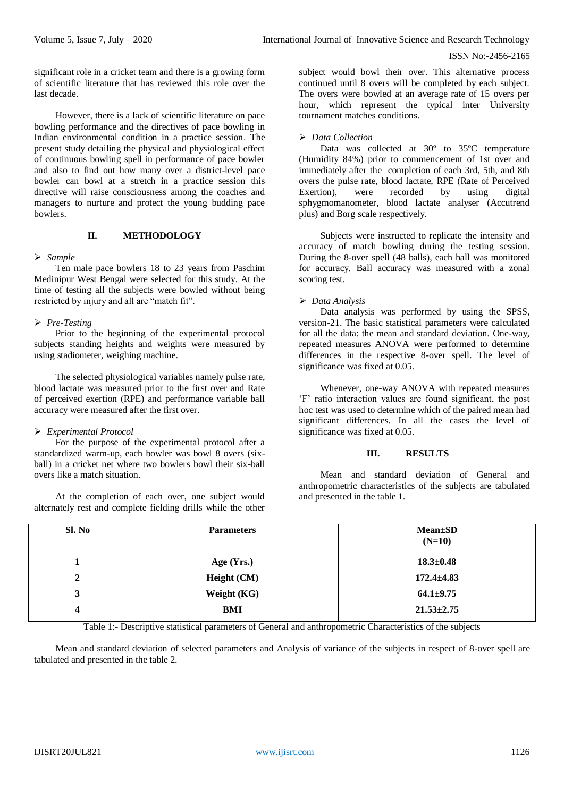significant role in a cricket team and there is a growing form of scientific literature that has reviewed this role over the last decade.

However, there is a lack of scientific literature on pace bowling performance and the directives of pace bowling in Indian environmental condition in a practice session. The present study detailing the physical and physiological effect of continuous bowling spell in performance of pace bowler and also to find out how many over a district-level pace bowler can bowl at a stretch in a practice session this directive will raise consciousness among the coaches and managers to nurture and protect the young budding pace bowlers.

# **II. METHODOLOGY**

## *Sample*

Ten male pace bowlers 18 to 23 years from Paschim Medinipur West Bengal were selected for this study. At the time of testing all the subjects were bowled without being restricted by injury and all are "match fit".

# *Pre-Testing*

Prior to the beginning of the experimental protocol subjects standing heights and weights were measured by using stadiometer, weighing machine.

The selected physiological variables namely pulse rate, blood lactate was measured prior to the first over and Rate of perceived exertion (RPE) and performance variable ball accuracy were measured after the first over.

# *Experimental Protocol*

For the purpose of the experimental protocol after a standardized warm-up, each bowler was bowl 8 overs (sixball) in a cricket net where two bowlers bowl their six-ball overs like a match situation.

At the completion of each over, one subject would alternately rest and complete fielding drills while the other

subject would bowl their over. This alternative process continued until 8 overs will be completed by each subject. The overs were bowled at an average rate of 15 overs per hour, which represent the typical inter University tournament matches conditions.

# *Data Collection*

Data was collected at 30º to 35ºC temperature (Humidity 84%) prior to commencement of 1st over and immediately after the completion of each 3rd, 5th, and 8th overs the pulse rate, blood lactate, RPE (Rate of Perceived Exertion), were recorded by using digital sphygmomanometer, blood lactate analyser (Accutrend plus) and Borg scale respectively.

Subjects were instructed to replicate the intensity and accuracy of match bowling during the testing session. During the 8-over spell (48 balls), each ball was monitored for accuracy. Ball accuracy was measured with a zonal scoring test.

# *Data Analysis*

Data analysis was performed by using the SPSS, version-21. The basic statistical parameters were calculated for all the data: the mean and standard deviation. One-way, repeated measures ANOVA were performed to determine differences in the respective 8-over spell. The level of significance was fixed at 0.05.

Whenever, one-way ANOVA with repeated measures 'F' ratio interaction values are found significant, the post hoc test was used to determine which of the paired mean had significant differences. In all the cases the level of significance was fixed at 0.05.

# **III. RESULTS**

Mean and standard deviation of General and anthropometric characteristics of the subjects are tabulated and presented in the table 1.

| Sl. No | <b>Parameters</b> | $Mean \pm SD$<br>$(N=10)$ |
|--------|-------------------|---------------------------|
|        | Age $(Yrs.)$      | $18.3 \pm 0.48$           |
|        | Height (CM)       | $172.4 \pm 4.83$          |
|        | Weight (KG)       | $64.1 \pm 9.75$           |
|        | BMI               | $21.53 \pm 2.75$          |

Table 1:- Descriptive statistical parameters of General and anthropometric Characteristics of the subjects

Mean and standard deviation of selected parameters and Analysis of variance of the subjects in respect of 8-over spell are tabulated and presented in the table 2.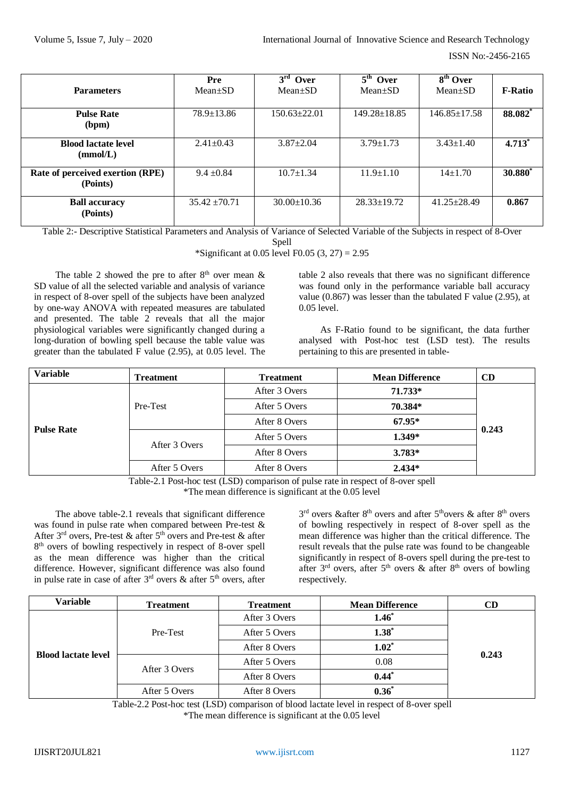| <b>Parameters</b>                            | Pre<br>$Mean \pm SD$ | $3rd$ Over<br>$Mean \pm SD$ | $5th$ Over<br>$Mean \pm SD$ | 8 <sup>th</sup> Over<br>$Mean \pm SD$ | <b>F-Ratio</b>      |
|----------------------------------------------|----------------------|-----------------------------|-----------------------------|---------------------------------------|---------------------|
| <b>Pulse Rate</b><br>(bpm)                   | $78.9 \pm 13.86$     | $150.63 \pm 22.01$          | $149.28 \pm 18.85$          | $146.85 \pm 17.58$                    | 88.082*             |
| <b>Blood lactate level</b><br>(mmol/L)       | $2.41 + 0.43$        | $3.87 \pm 2.04$             | $3.79 \pm 1.73$             | $3.43 \pm 1.40$                       | $4.713*$            |
| Rate of perceived exertion (RPE)<br>(Points) | $9.4 \pm 0.84$       | $10.7 \pm 1.34$             | $11.9 \pm 1.10$             | $14+1.70$                             | 30.880 <sup>*</sup> |
| <b>Ball accuracy</b><br>(Points)             | $35.42 \pm 70.71$    | $30.00 \pm 10.36$           | $28.33 \pm 19.72$           | $41.25 \pm 28.49$                     | 0.867               |

Table 2:- Descriptive Statistical Parameters and Analysis of Variance of Selected Variable of the Subjects in respect of 8-Over

Spell

\*Significant at 0.05 level F0.05  $(3, 27) = 2.95$ 

The table 2 showed the pre to after  $8<sup>th</sup>$  over mean  $\&$ SD value of all the selected variable and analysis of variance in respect of 8-over spell of the subjects have been analyzed by one-way ANOVA with repeated measures are tabulated and presented. The table 2 reveals that all the major physiological variables were significantly changed during a long-duration of bowling spell because the table value was greater than the tabulated F value (2.95), at 0.05 level. The

table 2 also reveals that there was no significant difference was found only in the performance variable ball accuracy value (0.867) was lesser than the tabulated F value (2.95), at 0.05 level.

As F-Ratio found to be significant, the data further analysed with Post-hoc test (LSD test). The results pertaining to this are presented in table-

| <b>Variable</b>   | <b>Treatment</b> | <b>Treatment</b> | <b>Mean Difference</b> | CD    |  |
|-------------------|------------------|------------------|------------------------|-------|--|
| <b>Pulse Rate</b> | Pre-Test         | After 3 Overs    | 71.733*                |       |  |
|                   |                  | After 5 Overs    | 70.384*                |       |  |
|                   |                  | After 8 Overs    | $67.95*$               | 0.243 |  |
|                   | After 3 Overs    | After 5 Overs    | $1.349*$               |       |  |
|                   |                  | After 8 Overs    | $3.783*$               |       |  |
|                   | After 5 Overs    | After 8 Overs    | $2.434*$               |       |  |

Table-2.1 Post-hoc test (LSD) comparison of pulse rate in respect of 8-over spell \*The mean difference is significant at the 0.05 level

The above table-2.1 reveals that significant difference was found in pulse rate when compared between Pre-test & After  $3<sup>rd</sup>$  overs, Pre-test & after  $5<sup>th</sup>$  overs and Pre-test & after 8 th overs of bowling respectively in respect of 8-over spell as the mean difference was higher than the critical difference. However, significant difference was also found in pulse rate in case of after  $3<sup>rd</sup>$  overs & after  $5<sup>th</sup>$  overs, after

 $3<sup>rd</sup>$  overs & after  $8<sup>th</sup>$  overs and after  $5<sup>th</sup>$  overs & after  $8<sup>th</sup>$  overs of bowling respectively in respect of 8-over spell as the mean difference was higher than the critical difference. The result reveals that the pulse rate was found to be changeable significantly in respect of 8-overs spell during the pre-test to after  $3<sup>rd</sup>$  overs, after  $5<sup>th</sup>$  overs & after  $8<sup>th</sup>$  overs of bowling respectively.

| <b>Variable</b>            | <b>Treatment</b>               | <b>Treatment</b> | <b>Mean Difference</b> | <b>CD</b> |
|----------------------------|--------------------------------|------------------|------------------------|-----------|
| <b>Blood lactate level</b> | Pre-Test                       | After 3 Overs    | $1.46*$                | 0.243     |
|                            |                                | After 5 Overs    | $1.38^{*}$             |           |
|                            |                                | After 8 Overs    | $1.02^*$               |           |
|                            | After 3 Overs<br>After 5 Overs | After 5 Overs    | 0.08                   |           |
|                            |                                | After 8 Overs    | $0.44*$                |           |
|                            |                                | After 8 Overs    | $0.36*$                |           |

Table-2.2 Post-hoc test (LSD) comparison of blood lactate level in respect of 8-over spell \*The mean difference is significant at the 0.05 level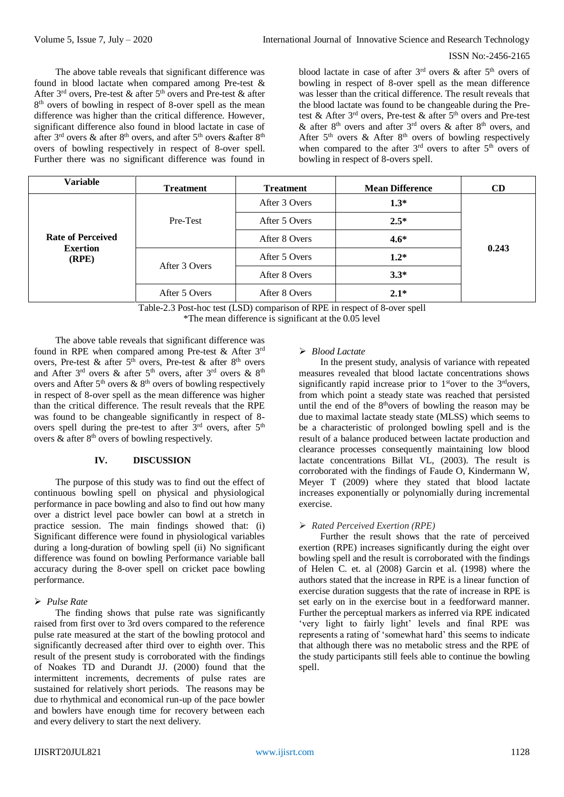The above table reveals that significant difference was found in blood lactate when compared among Pre-test & After  $3<sup>rd</sup>$  overs, Pre-test & after  $5<sup>th</sup>$  overs and Pre-test & after 8 th overs of bowling in respect of 8-over spell as the mean difference was higher than the critical difference. However, significant difference also found in blood lactate in case of after 3rd overs & after 8th overs, and after 5th overs &after 8th overs of bowling respectively in respect of 8-over spell. Further there was no significant difference was found in

blood lactate in case of after  $3<sup>rd</sup>$  overs & after  $5<sup>th</sup>$  overs of bowling in respect of 8-over spell as the mean difference was lesser than the critical difference. The result reveals that the blood lactate was found to be changeable during the Pretest & After  $3<sup>rd</sup>$  overs, Pre-test & after  $5<sup>th</sup>$  overs and Pre-test & after  $8<sup>th</sup>$  overs and after  $3<sup>rd</sup>$  overs & after  $8<sup>th</sup>$  overs, and After  $5<sup>th</sup>$  overs & After  $8<sup>th</sup>$  overs of bowling respectively when compared to the after  $3<sup>rd</sup>$  overs to after  $5<sup>th</sup>$  overs of bowling in respect of 8-overs spell.

| Variable                                             | <b>Treatment</b>               | <b>Treatment</b> | <b>Mean Difference</b> | CD    |  |
|------------------------------------------------------|--------------------------------|------------------|------------------------|-------|--|
| <b>Rate of Perceived</b><br><b>Exertion</b><br>(RPE) |                                | After 3 Overs    | $1.3*$                 |       |  |
|                                                      | Pre-Test                       | After 5 Overs    | $2.5*$                 |       |  |
|                                                      |                                | After 8 Overs    | $4.6*$                 |       |  |
|                                                      | After 3 Overs<br>After 5 Overs | After 5 Overs    | $1.2*$                 | 0.243 |  |
|                                                      |                                | After 8 Overs    | $3.3*$                 |       |  |
|                                                      |                                | After 8 Overs    | $2.1*$                 |       |  |

Table-2.3 Post-hoc test (LSD) comparison of RPE in respect of 8-over spell \*The mean difference is significant at the 0.05 level

The above table reveals that significant difference was found in RPE when compared among Pre-test & After 3rd overs, Pre-test & after  $5<sup>th</sup>$  overs, Pre-test & after  $8<sup>th</sup>$  overs and After  $3<sup>rd</sup>$  overs & after  $5<sup>th</sup>$  overs, after  $3<sup>rd</sup>$  overs &  $8<sup>th</sup>$ overs and After  $5<sup>th</sup>$  overs &  $8<sup>th</sup>$  overs of bowling respectively in respect of 8-over spell as the mean difference was higher than the critical difference. The result reveals that the RPE was found to be changeable significantly in respect of 8 overs spell during the pre-test to after  $3<sup>rd</sup>$  overs, after  $5<sup>th</sup>$ overs  $\&$  after  $8<sup>th</sup>$  overs of bowling respectively.

# **IV. DISCUSSION**

The purpose of this study was to find out the effect of continuous bowling spell on physical and physiological performance in pace bowling and also to find out how many over a district level pace bowler can bowl at a stretch in practice session. The main findings showed that: (i) Significant difference were found in physiological variables during a long-duration of bowling spell (ii) No significant difference was found on bowling Performance variable ball accuracy during the 8-over spell on cricket pace bowling performance.

## *Pulse Rate*

The finding shows that pulse rate was significantly raised from first over to 3rd overs compared to the reference pulse rate measured at the start of the bowling protocol and significantly decreased after third over to eighth over. This result of the present study is corroborated with the findings of Noakes TD and Durandt JJ. (2000) found that the intermittent increments, decrements of pulse rates are sustained for relatively short periods. The reasons may be due to rhythmical and economical run-up of the pace bowler and bowlers have enough time for recovery between each and every delivery to start the next delivery.

## *Blood Lactate*

In the present study, analysis of variance with repeated measures revealed that blood lactate concentrations shows significantly rapid increase prior to  $1<sup>st</sup>$ over to the  $3<sup>nd</sup>$ overs, from which point a steady state was reached that persisted until the end of the  $8<sup>th</sup>$ overs of bowling the reason may be due to maximal lactate steady state (MLSS) which seems to be a characteristic of prolonged bowling spell and is the result of a balance produced between lactate production and clearance processes consequently maintaining low blood lactate concentrations Billat VL, (2003). The result is corroborated with the findings of Faude O, Kindermann W, Meyer T (2009) where they stated that blood lactate increases exponentially or polynomially during incremental exercise.

#### *Rated Perceived Exertion (RPE)*

Further the result shows that the rate of perceived exertion (RPE) increases significantly during the eight over bowling spell and the result is corroborated with the findings of Helen C. et. al (2008) Garcin et al. (1998) where the authors stated that the increase in RPE is a linear function of exercise duration suggests that the rate of increase in RPE is set early on in the exercise bout in a feedforward manner. Further the perceptual markers as inferred via RPE indicated 'very light to fairly light' levels and final RPE was represents a rating of 'somewhat hard' this seems to indicate that although there was no metabolic stress and the RPE of the study participants still feels able to continue the bowling spell.